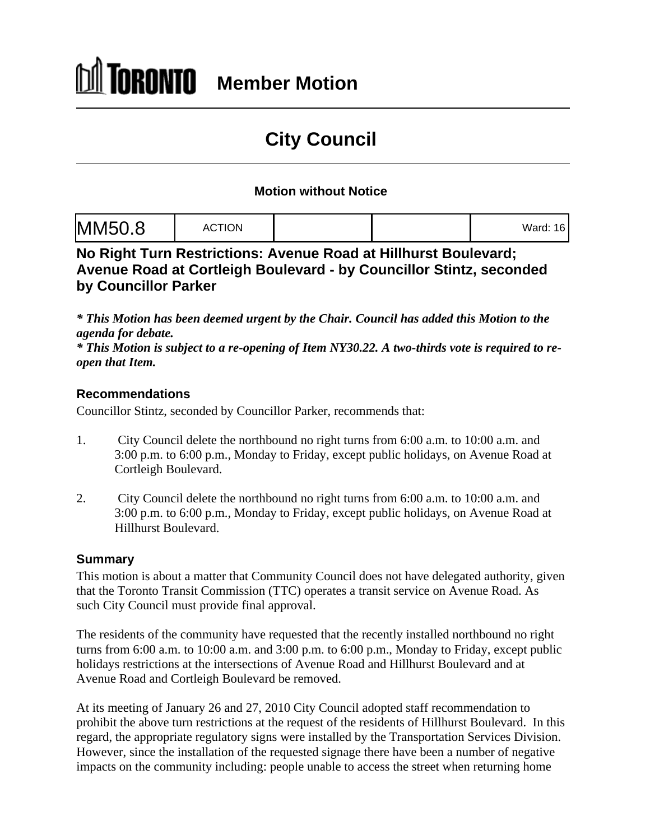# **City Council**

### **Motion without Notice**

| Mord.46<br><u>aiu.</u> |  |
|------------------------|--|
|------------------------|--|

**No Right Turn Restrictions: Avenue Road at Hillhurst Boulevard; Avenue Road at Cortleigh Boulevard - by Councillor Stintz, seconded by Councillor Parker**

*\* This Motion has been deemed urgent by the Chair. Council has added this Motion to the agenda for debate.*

*\* This Motion is subject to a re-opening of Item NY30.22. A two-thirds vote is required to re open that Item.*

#### **Recommendations**

Councillor Stintz, seconded by Councillor Parker, recommends that:

- 1. City Council delete the northbound no right turns from 6:00 a.m. to 10:00 a.m. and 3:00 p.m. to 6:00 p.m., Monday to Friday, except public holidays, on Avenue Road at Cortleigh Boulevard.
- 2. City Council delete the northbound no right turns from 6:00 a.m. to 10:00 a.m. and 3:00 p.m. to 6:00 p.m., Monday to Friday, except public holidays, on Avenue Road at Hillhurst Boulevard.

#### **Summary**

This motion is about a matter that Community Council does not have delegated authority, given that the Toronto Transit Commission (TTC) operates a transit service on Avenue Road. As such City Council must provide final approval.

The residents of the community have requested that the recently installed northbound no right turns from 6:00 a.m. to 10:00 a.m. and 3:00 p.m. to 6:00 p.m., Monday to Friday, except public holidays restrictions at the intersections of Avenue Road and Hillhurst Boulevard and at Avenue Road and Cortleigh Boulevard be removed.

At its meeting of January 26 and 27, 2010 City Council adopted staff recommendation to prohibit the above turn restrictions at the request of the residents of Hillhurst Boulevard. In this regard, the appropriate regulatory signs were installed by the Transportation Services Division. However, since the installation of the requested signage there have been a number of negative impacts on the community including: people unable to access the street when returning home